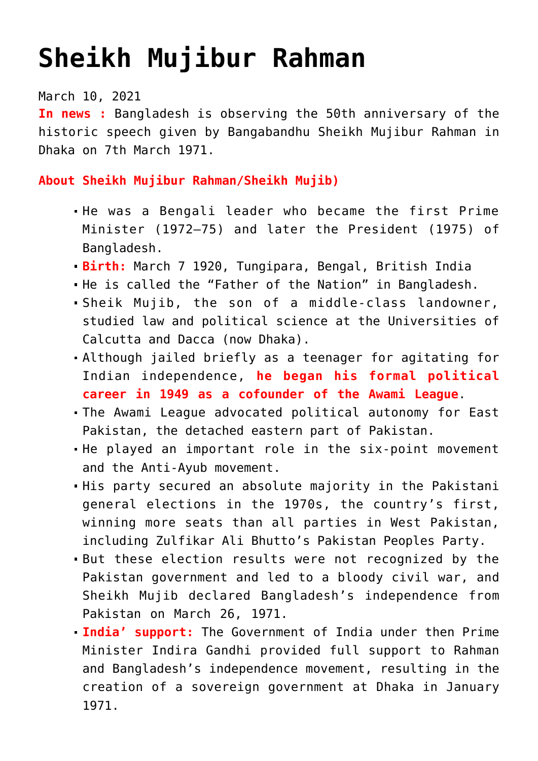## **[Sheikh Mujibur Rahman](https://journalsofindia.com/sheikh-mujibur-rahman/)**

March 10, 2021

**In news :** Bangladesh is observing the 50th anniversary of the historic speech given by Bangabandhu Sheikh Mujibur Rahman in Dhaka on 7th March 1971.

**About Sheikh Mujibur Rahman/Sheikh Mujib)** 

- He was a Bengali leader who became the first Prime Minister (1972–75) and later the President (1975) of Bangladesh.
- **Birth:** March 7 1920, Tungipara, Bengal, British India
- He is called the "Father of the Nation" in Bangladesh.
- Sheik Mujib, the son of a middle-class landowner, studied law and political science at the Universities of Calcutta and Dacca (now Dhaka).
- Although jailed briefly as a teenager for agitating for Indian independence, **he began his formal political career in 1949 as a cofounder of the Awami League**.
- The Awami League advocated political autonomy for East Pakistan, the detached eastern part of Pakistan.
- He played an important role in the six-point movement and the Anti-Ayub movement.
- His party secured an absolute majority in the Pakistani general elections in the 1970s, the country's first, winning more seats than all parties in West Pakistan, including Zulfikar Ali Bhutto's Pakistan Peoples Party.
- But these election results were not recognized by the Pakistan government and led to a bloody civil war, and Sheikh Mujib declared Bangladesh's independence from Pakistan on March 26, 1971.
- **India' support:** The Government of India under then Prime Minister Indira Gandhi provided full support to Rahman and Bangladesh's independence movement, resulting in the creation of a sovereign government at Dhaka in January 1971.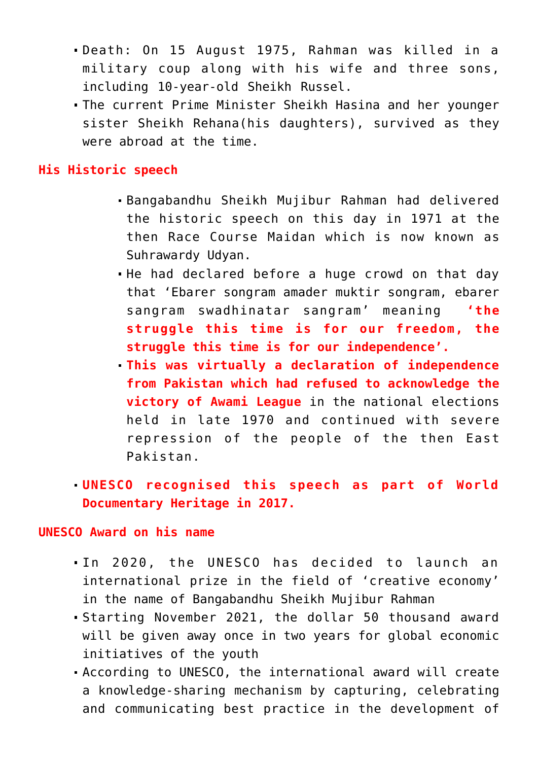- Death: On 15 August 1975, Rahman was killed in a military coup along with his wife and three sons, including 10-year-old Sheikh Russel.
- The current Prime Minister Sheikh Hasina and her younger sister Sheikh Rehana(his daughters), survived as they were abroad at the time.

## **His Historic speech**

- Bangabandhu Sheikh Mujibur Rahman had delivered the historic speech on this day in 1971 at the then Race Course Maidan which is now known as Suhrawardy Udyan.
- He had declared before a huge crowd on that day that 'Ebarer songram amader muktir songram, ebarer sangram swadhinatar sangram' meaning **'the struggle this time is for our freedom, the struggle this time is for our independence'.**
- **This was virtually a declaration of independence from Pakistan which had refused to acknowledge the victory of Awami League** in the national elections held in late 1970 and continued with severe repression of the people of the then East Pakistan.
- **UNESCO recognised this speech as part of World Documentary Heritage in 2017.**

## **UNESCO Award on his name**

- In 2020, the UNESCO has decided to launch an international prize in the field of 'creative economy' in the name of Bangabandhu Sheikh Mujibur Rahman
- Starting November 2021, the dollar 50 thousand award will be given away once in two years for global economic initiatives of the youth
- According to UNESCO, the international award will create a knowledge-sharing mechanism by capturing, celebrating and communicating best practice in the development of